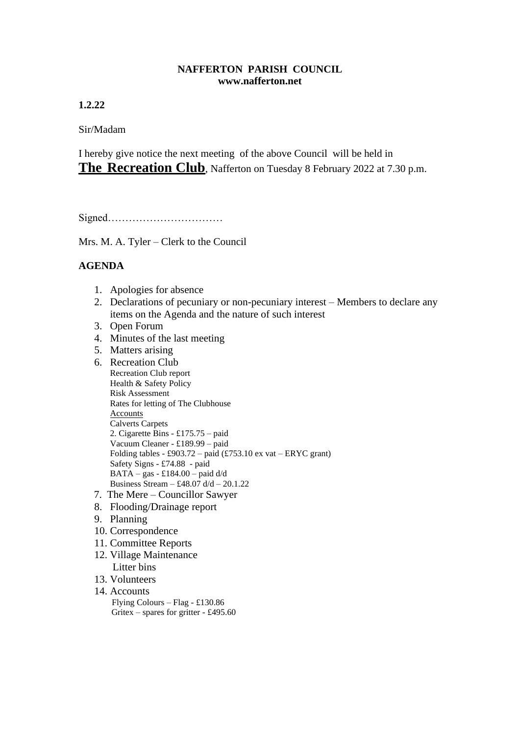## **NAFFERTON PARISH COUNCIL www.nafferton.net**

**1.2.22**

Sir/Madam

I hereby give notice the next meeting of the above Council will be held in **The Recreation Club**, Nafferton on Tuesday 8 February 2022 at 7.30 p.m.

Signed……………………………

Mrs. M. A. Tyler – Clerk to the Council

## **AGENDA**

- 1. Apologies for absence
- 2. Declarations of pecuniary or non-pecuniary interest Members to declare any items on the Agenda and the nature of such interest
- 3. Open Forum
- 4. Minutes of the last meeting
- 5. Matters arising
- 6. Recreation Club Recreation Club report Health & Safety Policy Risk Assessment Rates for letting of The Clubhouse Accounts Calverts Carpets 2. Cigarette Bins - £175.75 – paid Vacuum Cleaner - £189.99 – paid Folding tables - £903.72 – paid  $(\text{\textsterling}753.10 \text{ ex} \text{ vat} - \text{\textsterling}RTC \text{ grant})$ Safety Signs - £74.88 - paid BATA – gas - £184.00 – paid d/d Business Stream – £48.07 d/d – 20.1.22 7. The Mere – Councillor Sawyer
- 8. Flooding/Drainage report
- 9. Planning
- 10. Correspondence
- 11. Committee Reports
- 12. Village Maintenance Litter bins
- 13. Volunteers
- 14. Accounts Flying Colours – Flag - £130.86 Gritex – spares for gritter - £495.60